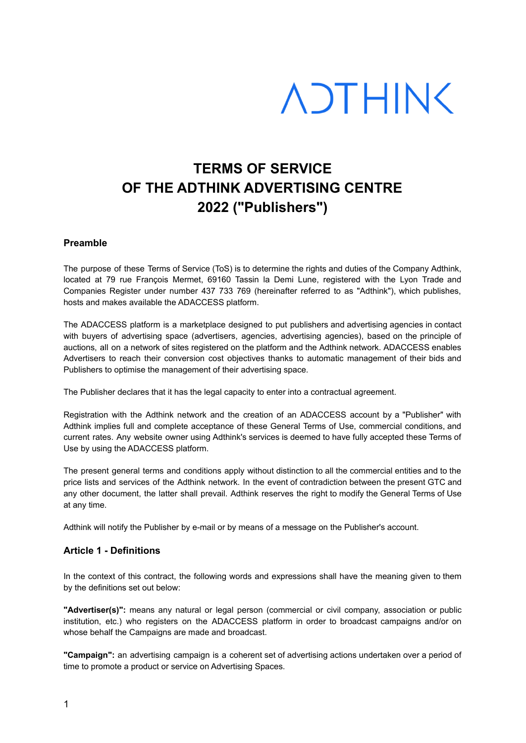# **ADTHINK**

# **TERMS OF SERVICE OF THE ADTHINK ADVERTISING CENTRE 2022 ("Publishers")**

# **Preamble**

The purpose of these Terms of Service (ToS) is to determine the rights and duties of the Company Adthink, located at 79 rue François Mermet, 69160 Tassin la Demi Lune, registered with the Lyon Trade and Companies Register under number 437 733 769 (hereinafter referred to as "Adthink"), which publishes, hosts and makes available the ADACCESS platform.

The ADACCESS platform is a marketplace designed to put publishers and advertising agencies in contact with buyers of advertising space (advertisers, agencies, advertising agencies), based on the principle of auctions, all on a network of sites registered on the platform and the Adthink network. ADACCESS enables Advertisers to reach their conversion cost objectives thanks to automatic management of their bids and Publishers to optimise the management of their advertising space.

The Publisher declares that it has the legal capacity to enter into a contractual agreement.

Registration with the Adthink network and the creation of an ADACCESS account by a "Publisher" with Adthink implies full and complete acceptance of these General Terms of Use, commercial conditions, and current rates. Any website owner using Adthink's services is deemed to have fully accepted these Terms of Use by using the ADACCESS platform.

The present general terms and conditions apply without distinction to all the commercial entities and to the price lists and services of the Adthink network. In the event of contradiction between the present GTC and any other document, the latter shall prevail. Adthink reserves the right to modify the General Terms of Use at any time.

Adthink will notify the Publisher by e-mail or by means of a message on the Publisher's account.

#### **Article 1 - Definitions**

In the context of this contract, the following words and expressions shall have the meaning given to them by the definitions set out below:

**"Advertiser(s)":** means any natural or legal person (commercial or civil company, association or public institution, etc.) who registers on the ADACCESS platform in order to broadcast campaigns and/or on whose behalf the Campaigns are made and broadcast.

**"Campaign":** an advertising campaign is a coherent set of advertising actions undertaken over a period of time to promote a product or service on Advertising Spaces.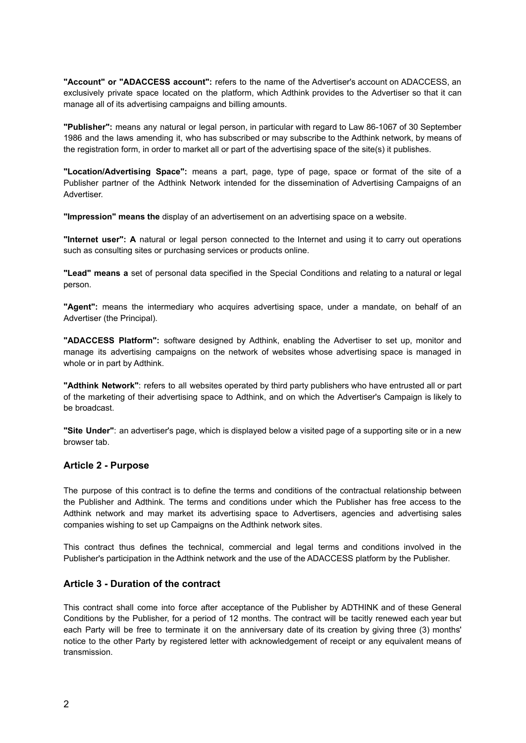**"Account" or "ADACCESS account":** refers to the name of the Advertiser's account on ADACCESS, an exclusively private space located on the platform, which Adthink provides to the Advertiser so that it can manage all of its advertising campaigns and billing amounts.

**"Publisher":** means any natural or legal person, in particular with regard to Law 86-1067 of 30 September 1986 and the laws amending it, who has subscribed or may subscribe to the Adthink network, by means of the registration form, in order to market all or part of the advertising space of the site(s) it publishes.

**"Location/Advertising Space":** means a part, page, type of page, space or format of the site of a Publisher partner of the Adthink Network intended for the dissemination of Advertising Campaigns of an Advertiser.

**"Impression" means the** display of an advertisement on an advertising space on a website.

**"Internet user": A** natural or legal person connected to the Internet and using it to carry out operations such as consulting sites or purchasing services or products online.

**"Lead" means a** set of personal data specified in the Special Conditions and relating to a natural or legal person.

**"Agent":** means the intermediary who acquires advertising space, under a mandate, on behalf of an Advertiser (the Principal).

**"ADACCESS Platform":** software designed by Adthink, enabling the Advertiser to set up, monitor and manage its advertising campaigns on the network of websites whose advertising space is managed in whole or in part by Adthink.

**"Adthink Network"**: refers to all websites operated by third party publishers who have entrusted all or part of the marketing of their advertising space to Adthink, and on which the Advertiser's Campaign is likely to be broadcast.

**"Site Under"**: an advertiser's page, which is displayed below a visited page of a supporting site or in a new browser tab.

#### **Article 2 - Purpose**

The purpose of this contract is to define the terms and conditions of the contractual relationship between the Publisher and Adthink. The terms and conditions under which the Publisher has free access to the Adthink network and may market its advertising space to Advertisers, agencies and advertising sales companies wishing to set up Campaigns on the Adthink network sites.

This contract thus defines the technical, commercial and legal terms and conditions involved in the Publisher's participation in the Adthink network and the use of the ADACCESS platform by the Publisher.

#### **Article 3 - Duration of the contract**

This contract shall come into force after acceptance of the Publisher by ADTHINK and of these General Conditions by the Publisher, for a period of 12 months. The contract will be tacitly renewed each year but each Party will be free to terminate it on the anniversary date of its creation by giving three (3) months' notice to the other Party by registered letter with acknowledgement of receipt or any equivalent means of transmission.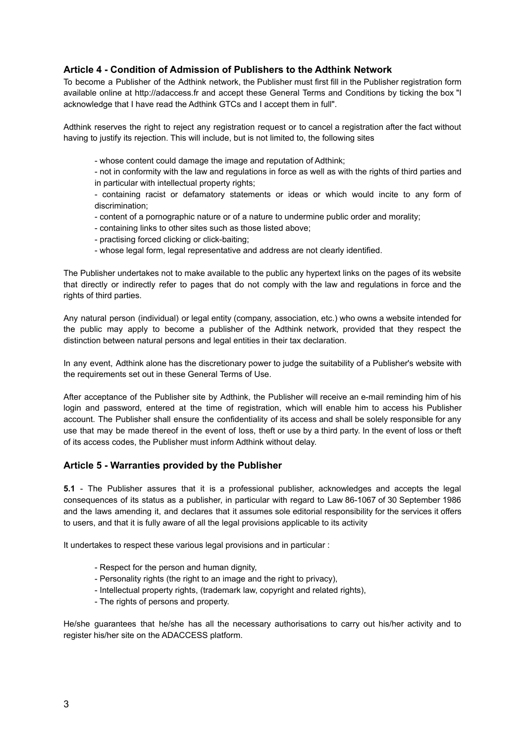# **Article 4 - Condition of Admission of Publishers to the Adthink Network**

To become a Publisher of the Adthink network, the Publisher must first fill in the Publisher registration form available online at http://adaccess.fr and accept these General Terms and Conditions by ticking the box "I acknowledge that I have read the Adthink GTCs and I accept them in full".

Adthink reserves the right to reject any registration request or to cancel a registration after the fact without having to justify its rejection. This will include, but is not limited to, the following sites

- whose content could damage the image and reputation of Adthink;

- not in conformity with the law and regulations in force as well as with the rights of third parties and in particular with intellectual property rights;

- containing racist or defamatory statements or ideas or which would incite to any form of discrimination;

- content of a pornographic nature or of a nature to undermine public order and morality;

- containing links to other sites such as those listed above;
- practising forced clicking or click-baiting;
- whose legal form, legal representative and address are not clearly identified.

The Publisher undertakes not to make available to the public any hypertext links on the pages of its website that directly or indirectly refer to pages that do not comply with the law and regulations in force and the rights of third parties.

Any natural person (individual) or legal entity (company, association, etc.) who owns a website intended for the public may apply to become a publisher of the Adthink network, provided that they respect the distinction between natural persons and legal entities in their tax declaration.

In any event, Adthink alone has the discretionary power to judge the suitability of a Publisher's website with the requirements set out in these General Terms of Use.

After acceptance of the Publisher site by Adthink, the Publisher will receive an e-mail reminding him of his login and password, entered at the time of registration, which will enable him to access his Publisher account. The Publisher shall ensure the confidentiality of its access and shall be solely responsible for any use that may be made thereof in the event of loss, theft or use by a third party. In the event of loss or theft of its access codes, the Publisher must inform Adthink without delay.

#### **Article 5 - Warranties provided by the Publisher**

**5.1** - The Publisher assures that it is a professional publisher, acknowledges and accepts the legal consequences of its status as a publisher, in particular with regard to Law 86-1067 of 30 September 1986 and the laws amending it, and declares that it assumes sole editorial responsibility for the services it offers to users, and that it is fully aware of all the legal provisions applicable to its activity

It undertakes to respect these various legal provisions and in particular :

- Respect for the person and human dignity,
- Personality rights (the right to an image and the right to privacy),
- Intellectual property rights, (trademark law, copyright and related rights),
- The rights of persons and property.

He/she guarantees that he/she has all the necessary authorisations to carry out his/her activity and to register his/her site on the ADACCESS platform.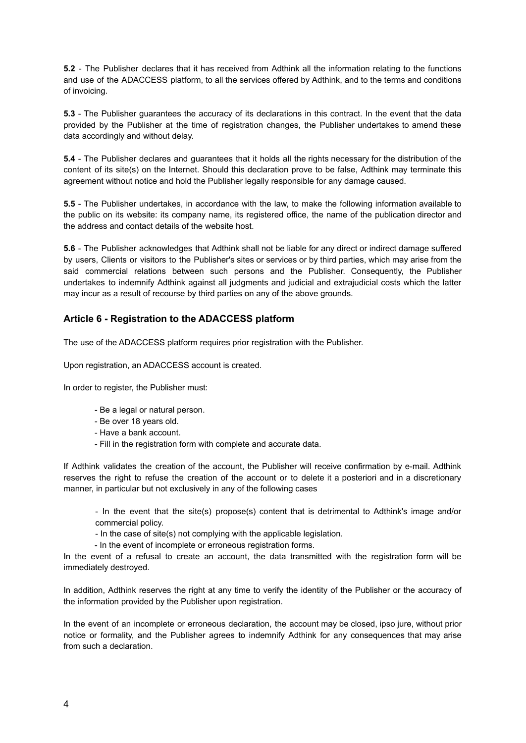**5.2** - The Publisher declares that it has received from Adthink all the information relating to the functions and use of the ADACCESS platform, to all the services offered by Adthink, and to the terms and conditions of invoicing.

**5.3** - The Publisher guarantees the accuracy of its declarations in this contract. In the event that the data provided by the Publisher at the time of registration changes, the Publisher undertakes to amend these data accordingly and without delay.

**5.4** - The Publisher declares and guarantees that it holds all the rights necessary for the distribution of the content of its site(s) on the Internet. Should this declaration prove to be false, Adthink may terminate this agreement without notice and hold the Publisher legally responsible for any damage caused.

**5.5** - The Publisher undertakes, in accordance with the law, to make the following information available to the public on its website: its company name, its registered office, the name of the publication director and the address and contact details of the website host.

**5.6** - The Publisher acknowledges that Adthink shall not be liable for any direct or indirect damage suffered by users, Clients or visitors to the Publisher's sites or services or by third parties, which may arise from the said commercial relations between such persons and the Publisher. Consequently, the Publisher undertakes to indemnify Adthink against all judgments and judicial and extrajudicial costs which the latter may incur as a result of recourse by third parties on any of the above grounds.

# **Article 6 - Registration to the ADACCESS platform**

The use of the ADACCESS platform requires prior registration with the Publisher.

Upon registration, an ADACCESS account is created.

In order to register, the Publisher must:

- Be a legal or natural person.
- Be over 18 years old.
- Have a bank account.
- Fill in the registration form with complete and accurate data.

If Adthink validates the creation of the account, the Publisher will receive confirmation by e-mail. Adthink reserves the right to refuse the creation of the account or to delete it a posteriori and in a discretionary manner, in particular but not exclusively in any of the following cases

- In the event that the site(s) propose(s) content that is detrimental to Adthink's image and/or commercial policy.

- In the case of site(s) not complying with the applicable legislation.

- In the event of incomplete or erroneous registration forms.

In the event of a refusal to create an account, the data transmitted with the registration form will be immediately destroyed.

In addition, Adthink reserves the right at any time to verify the identity of the Publisher or the accuracy of the information provided by the Publisher upon registration.

In the event of an incomplete or erroneous declaration, the account may be closed, ipso jure, without prior notice or formality, and the Publisher agrees to indemnify Adthink for any consequences that may arise from such a declaration.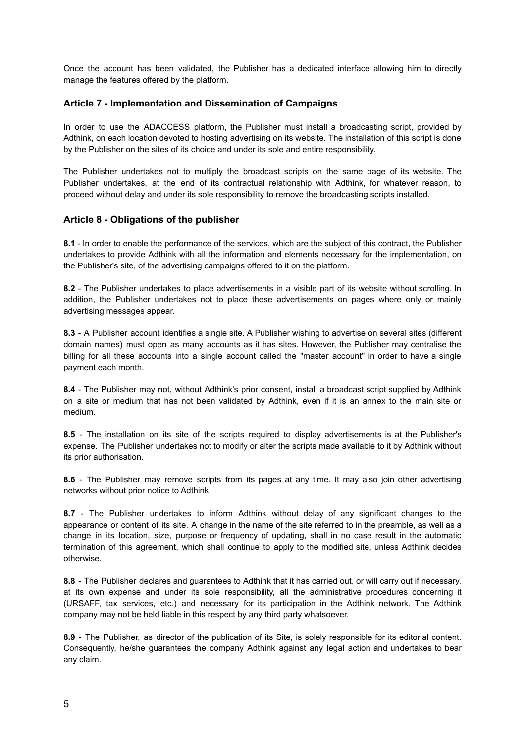Once the account has been validated, the Publisher has a dedicated interface allowing him to directly manage the features offered by the platform.

# **Article 7 - Implementation and Dissemination of Campaigns**

In order to use the ADACCESS platform, the Publisher must install a broadcasting script, provided by Adthink, on each location devoted to hosting advertising on its website. The installation of this script is done by the Publisher on the sites of its choice and under its sole and entire responsibility.

The Publisher undertakes not to multiply the broadcast scripts on the same page of its website. The Publisher undertakes, at the end of its contractual relationship with Adthink, for whatever reason, to proceed without delay and under its sole responsibility to remove the broadcasting scripts installed.

# **Article 8 - Obligations of the publisher**

**8.1** - In order to enable the performance of the services, which are the subject of this contract, the Publisher undertakes to provide Adthink with all the information and elements necessary for the implementation, on the Publisher's site, of the advertising campaigns offered to it on the platform.

**8.2** - The Publisher undertakes to place advertisements in a visible part of its website without scrolling. In addition, the Publisher undertakes not to place these advertisements on pages where only or mainly advertising messages appear.

**8.3** - A Publisher account identifies a single site. A Publisher wishing to advertise on several sites (different domain names) must open as many accounts as it has sites. However, the Publisher may centralise the billing for all these accounts into a single account called the "master account" in order to have a single payment each month.

**8.4** - The Publisher may not, without Adthink's prior consent, install a broadcast script supplied by Adthink on a site or medium that has not been validated by Adthink, even if it is an annex to the main site or medium.

**8.5** - The installation on its site of the scripts required to display advertisements is at the Publisher's expense. The Publisher undertakes not to modify or alter the scripts made available to it by Adthink without its prior authorisation.

**8.6** - The Publisher may remove scripts from its pages at any time. It may also join other advertising networks without prior notice to Adthink.

**8.7** - The Publisher undertakes to inform Adthink without delay of any significant changes to the appearance or content of its site. A change in the name of the site referred to in the preamble, as well as a change in its location, size, purpose or frequency of updating, shall in no case result in the automatic termination of this agreement, which shall continue to apply to the modified site, unless Adthink decides otherwise.

**8.8 -** The Publisher declares and guarantees to Adthink that it has carried out, or will carry out if necessary, at its own expense and under its sole responsibility, all the administrative procedures concerning it (URSAFF, tax services, etc.) and necessary for its participation in the Adthink network. The Adthink company may not be held liable in this respect by any third party whatsoever.

**8.9** - The Publisher, as director of the publication of its Site, is solely responsible for its editorial content. Consequently, he/she guarantees the company Adthink against any legal action and undertakes to bear any claim.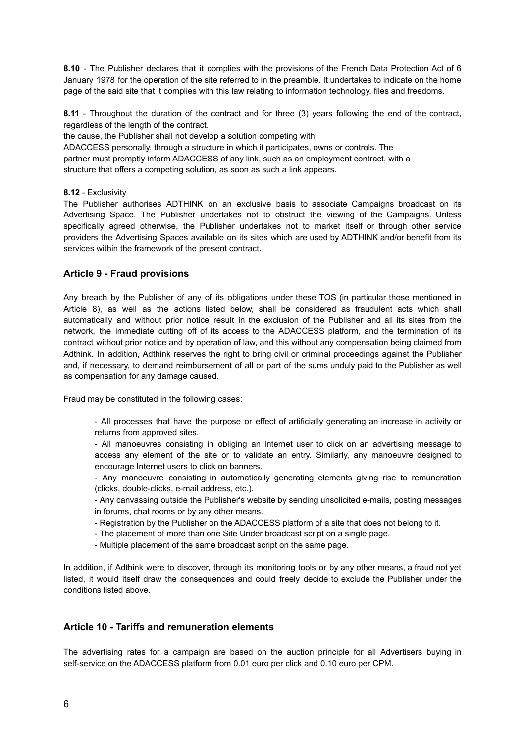**8.10** - The Publisher declares that it complies with the provisions of the French Data Protection Act of 6 January 1978 for the operation of the site referred to in the preamble. It undertakes to indicate on the home page of the said site that it complies with this law relating to information technology, files and freedoms.

**8.11** - Throughout the duration of the contract and for three (3) years following the end of the contract, regardless of the length of the contract.

the cause, the Publisher shall not develop a solution competing with ADACCESS personally, through a structure in which it participates, owns or controls. The partner must promptly inform ADACCESS of any link, such as an employment contract, with a structure that offers a competing solution, as soon as such a link appears.

#### **8.12** - Exclusivity

The Publisher authorises ADTHINK on an exclusive basis to associate Campaigns broadcast on its Advertising Space. The Publisher undertakes not to obstruct the viewing of the Campaigns. Unless specifically agreed otherwise, the Publisher undertakes not to market itself or through other service providers the Advertising Spaces available on its sites which are used by ADTHINK and/or benefit from its services within the framework of the present contract.

# **Article 9 - Fraud provisions**

Any breach by the Publisher of any of its obligations under these TOS (in particular those mentioned in Article 8), as well as the actions listed below, shall be considered as fraudulent acts which shall automatically and without prior notice result in the exclusion of the Publisher and all its sites from the network, the immediate cutting off of its access to the ADACCESS platform, and the termination of its contract without prior notice and by operation of law, and this without any compensation being claimed from Adthink. In addition, Adthink reserves the right to bring civil or criminal proceedings against the Publisher and, if necessary, to demand reimbursement of all or part of the sums unduly paid to the Publisher as well as compensation for any damage caused.

Fraud may be constituted in the following cases:

- All processes that have the purpose or effect of artificially generating an increase in activity or returns from approved sites.

- All manoeuvres consisting in obliging an Internet user to click on an advertising message to access any element of the site or to validate an entry. Similarly, any manoeuvre designed to encourage Internet users to click on banners.

- Any manoeuvre consisting in automatically generating elements giving rise to remuneration (clicks, double-clicks, e-mail address, etc.).

- Any canvassing outside the Publisher's website by sending unsolicited e-mails, posting messages in forums, chat rooms or by any other means.

- Registration by the Publisher on the ADACCESS platform of a site that does not belong to it.
- The placement of more than one Site Under broadcast script on a single page.
- Multiple placement of the same broadcast script on the same page.

In addition, if Adthink were to discover, through its monitoring tools or by any other means, a fraud not yet listed, it would itself draw the consequences and could freely decide to exclude the Publisher under the conditions listed above.

#### **Article 10 - Tariffs and remuneration elements**

The advertising rates for a campaign are based on the auction principle for all Advertisers buying in self-service on the ADACCESS platform from 0.01 euro per click and 0.10 euro per CPM.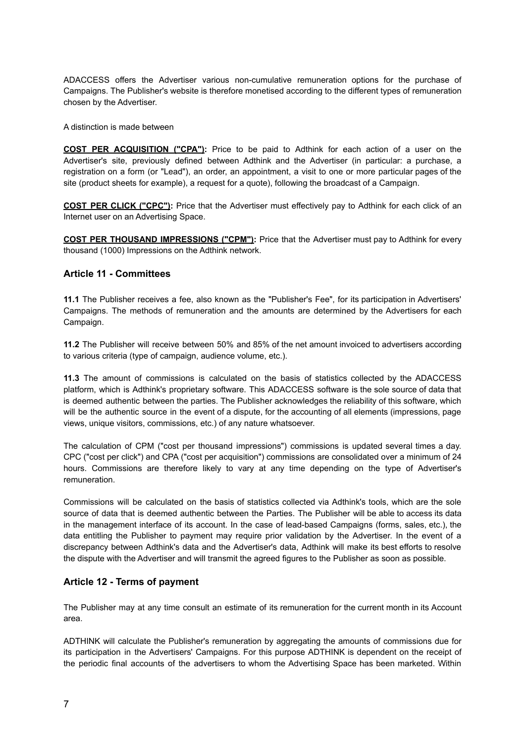ADACCESS offers the Advertiser various non-cumulative remuneration options for the purchase of Campaigns. The Publisher's website is therefore monetised according to the different types of remuneration chosen by the Advertiser.

A distinction is made between

**COST PER ACQUISITION ("CPA"):** Price to be paid to Adthink for each action of a user on the Advertiser's site, previously defined between Adthink and the Advertiser (in particular: a purchase, a registration on a form (or "Lead"), an order, an appointment, a visit to one or more particular pages of the site (product sheets for example), a request for a quote), following the broadcast of a Campaign.

**COST PER CLICK ("CPC"):** Price that the Advertiser must effectively pay to Adthink for each click of an Internet user on an Advertising Space.

**COST PER THOUSAND IMPRESSIONS ("CPM"):** Price that the Advertiser must pay to Adthink for every thousand (1000) Impressions on the Adthink network.

# **Article 11 - Committees**

**11.1** The Publisher receives a fee, also known as the "Publisher's Fee", for its participation in Advertisers' Campaigns. The methods of remuneration and the amounts are determined by the Advertisers for each Campaign.

**11.2** The Publisher will receive between 50% and 85% of the net amount invoiced to advertisers according to various criteria (type of campaign, audience volume, etc.).

**11.3** The amount of commissions is calculated on the basis of statistics collected by the ADACCESS platform, which is Adthink's proprietary software. This ADACCESS software is the sole source of data that is deemed authentic between the parties. The Publisher acknowledges the reliability of this software, which will be the authentic source in the event of a dispute, for the accounting of all elements (impressions, page views, unique visitors, commissions, etc.) of any nature whatsoever.

The calculation of CPM ("cost per thousand impressions") commissions is updated several times a day. CPC ("cost per click") and CPA ("cost per acquisition") commissions are consolidated over a minimum of 24 hours. Commissions are therefore likely to vary at any time depending on the type of Advertiser's remuneration.

Commissions will be calculated on the basis of statistics collected via Adthink's tools, which are the sole source of data that is deemed authentic between the Parties. The Publisher will be able to access its data in the management interface of its account. In the case of lead-based Campaigns (forms, sales, etc.), the data entitling the Publisher to payment may require prior validation by the Advertiser. In the event of a discrepancy between Adthink's data and the Advertiser's data, Adthink will make its best efforts to resolve the dispute with the Advertiser and will transmit the agreed figures to the Publisher as soon as possible.

# **Article 12 - Terms of payment**

The Publisher may at any time consult an estimate of its remuneration for the current month in its Account area.

ADTHINK will calculate the Publisher's remuneration by aggregating the amounts of commissions due for its participation in the Advertisers' Campaigns. For this purpose ADTHINK is dependent on the receipt of the periodic final accounts of the advertisers to whom the Advertising Space has been marketed. Within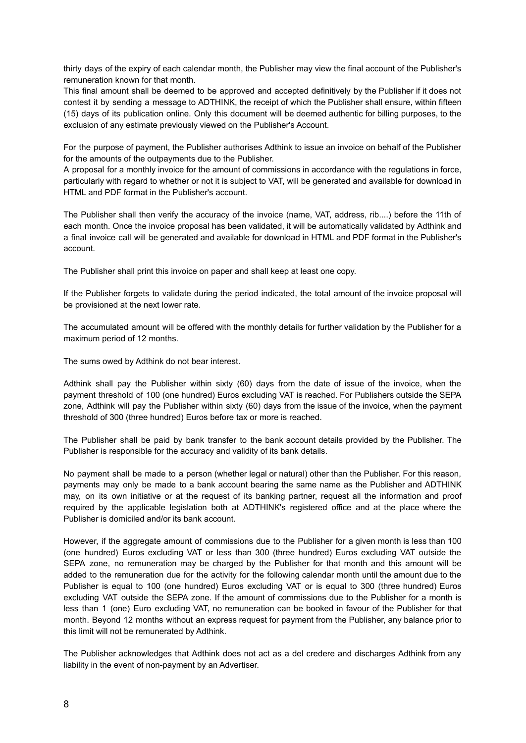thirty days of the expiry of each calendar month, the Publisher may view the final account of the Publisher's remuneration known for that month.

This final amount shall be deemed to be approved and accepted definitively by the Publisher if it does not contest it by sending a message to ADTHINK, the receipt of which the Publisher shall ensure, within fifteen (15) days of its publication online. Only this document will be deemed authentic for billing purposes, to the exclusion of any estimate previously viewed on the Publisher's Account.

For the purpose of payment, the Publisher authorises Adthink to issue an invoice on behalf of the Publisher for the amounts of the outpayments due to the Publisher.

A proposal for a monthly invoice for the amount of commissions in accordance with the regulations in force, particularly with regard to whether or not it is subject to VAT, will be generated and available for download in HTML and PDF format in the Publisher's account.

The Publisher shall then verify the accuracy of the invoice (name, VAT, address, rib....) before the 11th of each month. Once the invoice proposal has been validated, it will be automatically validated by Adthink and a final invoice call will be generated and available for download in HTML and PDF format in the Publisher's account.

The Publisher shall print this invoice on paper and shall keep at least one copy.

If the Publisher forgets to validate during the period indicated, the total amount of the invoice proposal will be provisioned at the next lower rate.

The accumulated amount will be offered with the monthly details for further validation by the Publisher for a maximum period of 12 months.

The sums owed by Adthink do not bear interest.

Adthink shall pay the Publisher within sixty (60) days from the date of issue of the invoice, when the payment threshold of 100 (one hundred) Euros excluding VAT is reached. For Publishers outside the SEPA zone, Adthink will pay the Publisher within sixty (60) days from the issue of the invoice, when the payment threshold of 300 (three hundred) Euros before tax or more is reached.

The Publisher shall be paid by bank transfer to the bank account details provided by the Publisher. The Publisher is responsible for the accuracy and validity of its bank details.

No payment shall be made to a person (whether legal or natural) other than the Publisher. For this reason, payments may only be made to a bank account bearing the same name as the Publisher and ADTHINK may, on its own initiative or at the request of its banking partner, request all the information and proof required by the applicable legislation both at ADTHINK's registered office and at the place where the Publisher is domiciled and/or its bank account.

However, if the aggregate amount of commissions due to the Publisher for a given month is less than 100 (one hundred) Euros excluding VAT or less than 300 (three hundred) Euros excluding VAT outside the SEPA zone, no remuneration may be charged by the Publisher for that month and this amount will be added to the remuneration due for the activity for the following calendar month until the amount due to the Publisher is equal to 100 (one hundred) Euros excluding VAT or is equal to 300 (three hundred) Euros excluding VAT outside the SEPA zone. If the amount of commissions due to the Publisher for a month is less than 1 (one) Euro excluding VAT, no remuneration can be booked in favour of the Publisher for that month. Beyond 12 months without an express request for payment from the Publisher, any balance prior to this limit will not be remunerated by Adthink.

The Publisher acknowledges that Adthink does not act as a del credere and discharges Adthink from any liability in the event of non-payment by an Advertiser.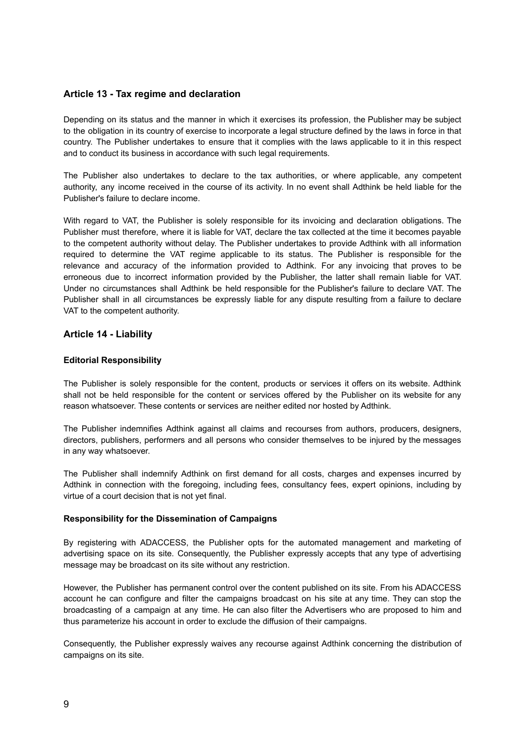# **Article 13 - Tax regime and declaration**

Depending on its status and the manner in which it exercises its profession, the Publisher may be subject to the obligation in its country of exercise to incorporate a legal structure defined by the laws in force in that country. The Publisher undertakes to ensure that it complies with the laws applicable to it in this respect and to conduct its business in accordance with such legal requirements.

The Publisher also undertakes to declare to the tax authorities, or where applicable, any competent authority, any income received in the course of its activity. In no event shall Adthink be held liable for the Publisher's failure to declare income.

With regard to VAT, the Publisher is solely responsible for its invoicing and declaration obligations. The Publisher must therefore, where it is liable for VAT, declare the tax collected at the time it becomes payable to the competent authority without delay. The Publisher undertakes to provide Adthink with all information required to determine the VAT regime applicable to its status. The Publisher is responsible for the relevance and accuracy of the information provided to Adthink. For any invoicing that proves to be erroneous due to incorrect information provided by the Publisher, the latter shall remain liable for VAT. Under no circumstances shall Adthink be held responsible for the Publisher's failure to declare VAT. The Publisher shall in all circumstances be expressly liable for any dispute resulting from a failure to declare VAT to the competent authority.

# **Article 14 - Liability**

#### **Editorial Responsibility**

The Publisher is solely responsible for the content, products or services it offers on its website. Adthink shall not be held responsible for the content or services offered by the Publisher on its website for any reason whatsoever. These contents or services are neither edited nor hosted by Adthink.

The Publisher indemnifies Adthink against all claims and recourses from authors, producers, designers, directors, publishers, performers and all persons who consider themselves to be injured by the messages in any way whatsoever.

The Publisher shall indemnify Adthink on first demand for all costs, charges and expenses incurred by Adthink in connection with the foregoing, including fees, consultancy fees, expert opinions, including by virtue of a court decision that is not yet final.

#### **Responsibility for the Dissemination of Campaigns**

By registering with ADACCESS, the Publisher opts for the automated management and marketing of advertising space on its site. Consequently, the Publisher expressly accepts that any type of advertising message may be broadcast on its site without any restriction.

However, the Publisher has permanent control over the content published on its site. From his ADACCESS account he can configure and filter the campaigns broadcast on his site at any time. They can stop the broadcasting of a campaign at any time. He can also filter the Advertisers who are proposed to him and thus parameterize his account in order to exclude the diffusion of their campaigns.

Consequently, the Publisher expressly waives any recourse against Adthink concerning the distribution of campaigns on its site.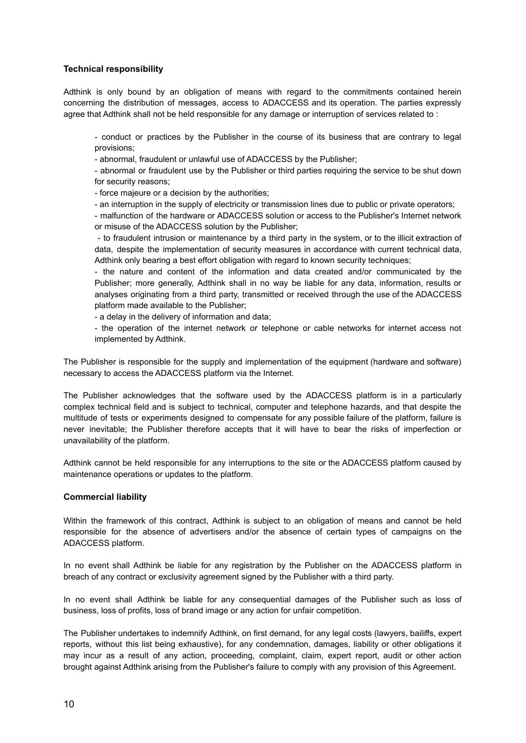#### **Technical responsibility**

Adthink is only bound by an obligation of means with regard to the commitments contained herein concerning the distribution of messages, access to ADACCESS and its operation. The parties expressly agree that Adthink shall not be held responsible for any damage or interruption of services related to:

- conduct or practices by the Publisher in the course of its business that are contrary to legal provisions;

- abnormal, fraudulent or unlawful use of ADACCESS by the Publisher;

- abnormal or fraudulent use by the Publisher or third parties requiring the service to be shut down for security reasons;

- force majeure or a decision by the authorities;

- an interruption in the supply of electricity or transmission lines due to public or private operators;

- malfunction of the hardware or ADACCESS solution or access to the Publisher's Internet network or misuse of the ADACCESS solution by the Publisher;

- to fraudulent intrusion or maintenance by a third party in the system, or to the illicit extraction of data, despite the implementation of security measures in accordance with current technical data, Adthink only bearing a best effort obligation with regard to known security techniques;

- the nature and content of the information and data created and/or communicated by the Publisher; more generally, Adthink shall in no way be liable for any data, information, results or analyses originating from a third party, transmitted or received through the use of the ADACCESS platform made available to the Publisher;

- a delay in the delivery of information and data;

- the operation of the internet network or telephone or cable networks for internet access not implemented by Adthink.

The Publisher is responsible for the supply and implementation of the equipment (hardware and software) necessary to access the ADACCESS platform via the Internet.

The Publisher acknowledges that the software used by the ADACCESS platform is in a particularly complex technical field and is subject to technical, computer and telephone hazards, and that despite the multitude of tests or experiments designed to compensate for any possible failure of the platform, failure is never inevitable; the Publisher therefore accepts that it will have to bear the risks of imperfection or unavailability of the platform.

Adthink cannot be held responsible for any interruptions to the site or the ADACCESS platform caused by maintenance operations or updates to the platform.

#### **Commercial liability**

Within the framework of this contract, Adthink is subject to an obligation of means and cannot be held responsible for the absence of advertisers and/or the absence of certain types of campaigns on the ADACCESS platform.

In no event shall Adthink be liable for any registration by the Publisher on the ADACCESS platform in breach of any contract or exclusivity agreement signed by the Publisher with a third party.

In no event shall Adthink be liable for any consequential damages of the Publisher such as loss of business, loss of profits, loss of brand image or any action for unfair competition.

The Publisher undertakes to indemnify Adthink, on first demand, for any legal costs (lawyers, bailiffs, expert reports, without this list being exhaustive), for any condemnation, damages, liability or other obligations it may incur as a result of any action, proceeding, complaint, claim, expert report, audit or other action brought against Adthink arising from the Publisher's failure to comply with any provision of this Agreement.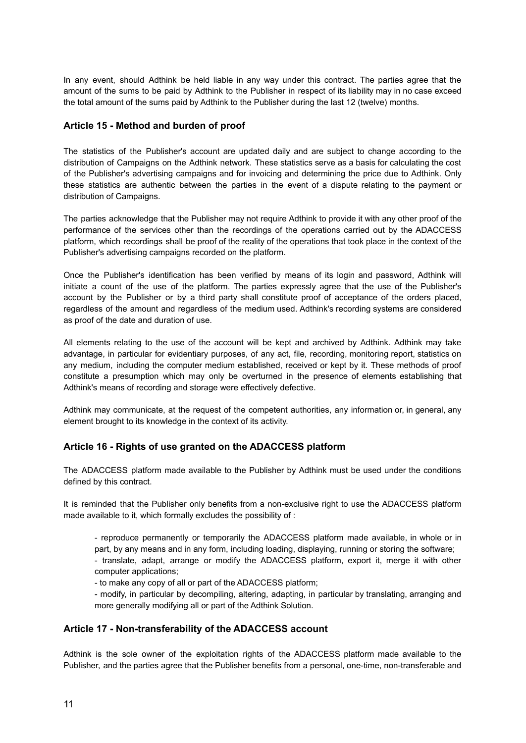In any event, should Adthink be held liable in any way under this contract. The parties agree that the amount of the sums to be paid by Adthink to the Publisher in respect of its liability may in no case exceed the total amount of the sums paid by Adthink to the Publisher during the last 12 (twelve) months.

# **Article 15 - Method and burden of proof**

The statistics of the Publisher's account are updated daily and are subject to change according to the distribution of Campaigns on the Adthink network. These statistics serve as a basis for calculating the cost of the Publisher's advertising campaigns and for invoicing and determining the price due to Adthink. Only these statistics are authentic between the parties in the event of a dispute relating to the payment or distribution of Campaigns.

The parties acknowledge that the Publisher may not require Adthink to provide it with any other proof of the performance of the services other than the recordings of the operations carried out by the ADACCESS platform, which recordings shall be proof of the reality of the operations that took place in the context of the Publisher's advertising campaigns recorded on the platform.

Once the Publisher's identification has been verified by means of its login and password, Adthink will initiate a count of the use of the platform. The parties expressly agree that the use of the Publisher's account by the Publisher or by a third party shall constitute proof of acceptance of the orders placed, regardless of the amount and regardless of the medium used. Adthink's recording systems are considered as proof of the date and duration of use.

All elements relating to the use of the account will be kept and archived by Adthink. Adthink may take advantage, in particular for evidentiary purposes, of any act, file, recording, monitoring report, statistics on any medium, including the computer medium established, received or kept by it. These methods of proof constitute a presumption which may only be overturned in the presence of elements establishing that Adthink's means of recording and storage were effectively defective.

Adthink may communicate, at the request of the competent authorities, any information or, in general, any element brought to its knowledge in the context of its activity.

# **Article 16 - Rights of use granted on the ADACCESS platform**

The ADACCESS platform made available to the Publisher by Adthink must be used under the conditions defined by this contract.

It is reminded that the Publisher only benefits from a non-exclusive right to use the ADACCESS platform made available to it, which formally excludes the possibility of :

- reproduce permanently or temporarily the ADACCESS platform made available, in whole or in part, by any means and in any form, including loading, displaying, running or storing the software;

- translate, adapt, arrange or modify the ADACCESS platform, export it, merge it with other computer applications;

- to make any copy of all or part of the ADACCESS platform;

- modify, in particular by decompiling, altering, adapting, in particular by translating, arranging and more generally modifying all or part of the Adthink Solution.

#### **Article 17 - Non-transferability of the ADACCESS account**

Adthink is the sole owner of the exploitation rights of the ADACCESS platform made available to the Publisher, and the parties agree that the Publisher benefits from a personal, one-time, non-transferable and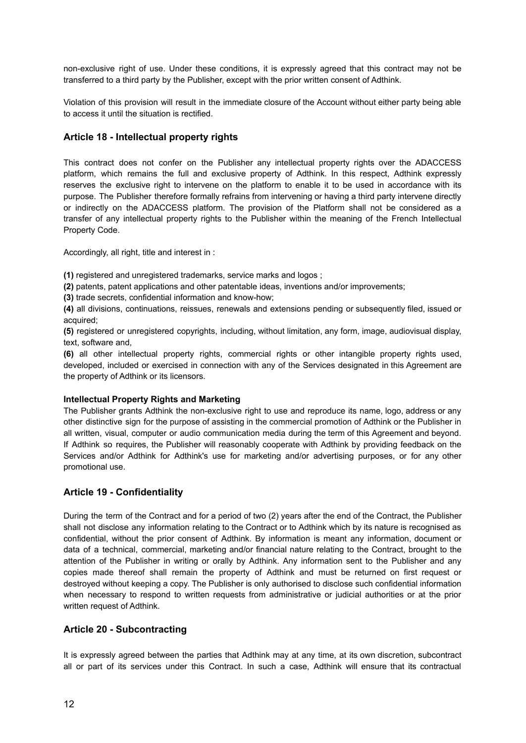non-exclusive right of use. Under these conditions, it is expressly agreed that this contract may not be transferred to a third party by the Publisher, except with the prior written consent of Adthink.

Violation of this provision will result in the immediate closure of the Account without either party being able to access it until the situation is rectified.

# **Article 18 - Intellectual property rights**

This contract does not confer on the Publisher any intellectual property rights over the ADACCESS platform, which remains the full and exclusive property of Adthink. In this respect, Adthink expressly reserves the exclusive right to intervene on the platform to enable it to be used in accordance with its purpose. The Publisher therefore formally refrains from intervening or having a third party intervene directly or indirectly on the ADACCESS platform. The provision of the Platform shall not be considered as a transfer of any intellectual property rights to the Publisher within the meaning of the French Intellectual Property Code.

Accordingly, all right, title and interest in :

**(1)** registered and unregistered trademarks, service marks and logos ;

**(2)** patents, patent applications and other patentable ideas, inventions and/or improvements;

**(3)** trade secrets, confidential information and know-how;

**(4)** all divisions, continuations, reissues, renewals and extensions pending or subsequently filed, issued or acquired;

**(5)** registered or unregistered copyrights, including, without limitation, any form, image, audiovisual display, text, software and,

**(6)** all other intellectual property rights, commercial rights or other intangible property rights used, developed, included or exercised in connection with any of the Services designated in this Agreement are the property of Adthink or its licensors.

#### **Intellectual Property Rights and Marketing**

The Publisher grants Adthink the non-exclusive right to use and reproduce its name, logo, address or any other distinctive sign for the purpose of assisting in the commercial promotion of Adthink or the Publisher in all written, visual, computer or audio communication media during the term of this Agreement and beyond. If Adthink so requires, the Publisher will reasonably cooperate with Adthink by providing feedback on the Services and/or Adthink for Adthink's use for marketing and/or advertising purposes, or for any other promotional use.

#### **Article 19 - Confidentiality**

During the term of the Contract and for a period of two (2) years after the end of the Contract, the Publisher shall not disclose any information relating to the Contract or to Adthink which by its nature is recognised as confidential, without the prior consent of Adthink. By information is meant any information, document or data of a technical, commercial, marketing and/or financial nature relating to the Contract, brought to the attention of the Publisher in writing or orally by Adthink. Any information sent to the Publisher and any copies made thereof shall remain the property of Adthink and must be returned on first request or destroyed without keeping a copy. The Publisher is only authorised to disclose such confidential information when necessary to respond to written requests from administrative or judicial authorities or at the prior written request of Adthink.

# **Article 20 - Subcontracting**

It is expressly agreed between the parties that Adthink may at any time, at its own discretion, subcontract all or part of its services under this Contract. In such a case, Adthink will ensure that its contractual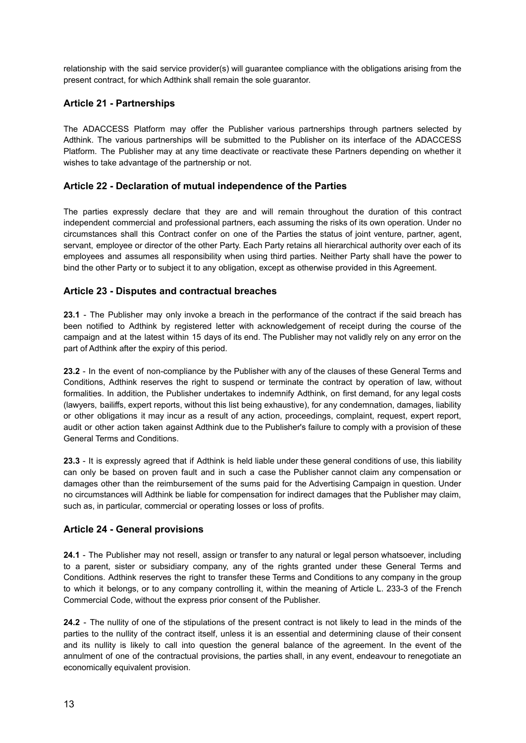relationship with the said service provider(s) will guarantee compliance with the obligations arising from the present contract, for which Adthink shall remain the sole guarantor.

# **Article 21 - Partnerships**

The ADACCESS Platform may offer the Publisher various partnerships through partners selected by Adthink. The various partnerships will be submitted to the Publisher on its interface of the ADACCESS Platform. The Publisher may at any time deactivate or reactivate these Partners depending on whether it wishes to take advantage of the partnership or not.

# **Article 22 - Declaration of mutual independence of the Parties**

The parties expressly declare that they are and will remain throughout the duration of this contract independent commercial and professional partners, each assuming the risks of its own operation. Under no circumstances shall this Contract confer on one of the Parties the status of joint venture, partner, agent, servant, employee or director of the other Party. Each Party retains all hierarchical authority over each of its employees and assumes all responsibility when using third parties. Neither Party shall have the power to bind the other Party or to subject it to any obligation, except as otherwise provided in this Agreement.

# **Article 23 - Disputes and contractual breaches**

**23.1** - The Publisher may only invoke a breach in the performance of the contract if the said breach has been notified to Adthink by registered letter with acknowledgement of receipt during the course of the campaign and at the latest within 15 days of its end. The Publisher may not validly rely on any error on the part of Adthink after the expiry of this period.

**23.2** - In the event of non-compliance by the Publisher with any of the clauses of these General Terms and Conditions, Adthink reserves the right to suspend or terminate the contract by operation of law, without formalities. In addition, the Publisher undertakes to indemnify Adthink, on first demand, for any legal costs (lawyers, bailiffs, expert reports, without this list being exhaustive), for any condemnation, damages, liability or other obligations it may incur as a result of any action, proceedings, complaint, request, expert report, audit or other action taken against Adthink due to the Publisher's failure to comply with a provision of these General Terms and Conditions.

**23.3** - It is expressly agreed that if Adthink is held liable under these general conditions of use, this liability can only be based on proven fault and in such a case the Publisher cannot claim any compensation or damages other than the reimbursement of the sums paid for the Advertising Campaign in question. Under no circumstances will Adthink be liable for compensation for indirect damages that the Publisher may claim, such as, in particular, commercial or operating losses or loss of profits.

# **Article 24 - General provisions**

**24.1** - The Publisher may not resell, assign or transfer to any natural or legal person whatsoever, including to a parent, sister or subsidiary company, any of the rights granted under these General Terms and Conditions. Adthink reserves the right to transfer these Terms and Conditions to any company in the group to which it belongs, or to any company controlling it, within the meaning of Article L. 233-3 of the French Commercial Code, without the express prior consent of the Publisher.

**24.2** - The nullity of one of the stipulations of the present contract is not likely to lead in the minds of the parties to the nullity of the contract itself, unless it is an essential and determining clause of their consent and its nullity is likely to call into question the general balance of the agreement. In the event of the annulment of one of the contractual provisions, the parties shall, in any event, endeavour to renegotiate an economically equivalent provision.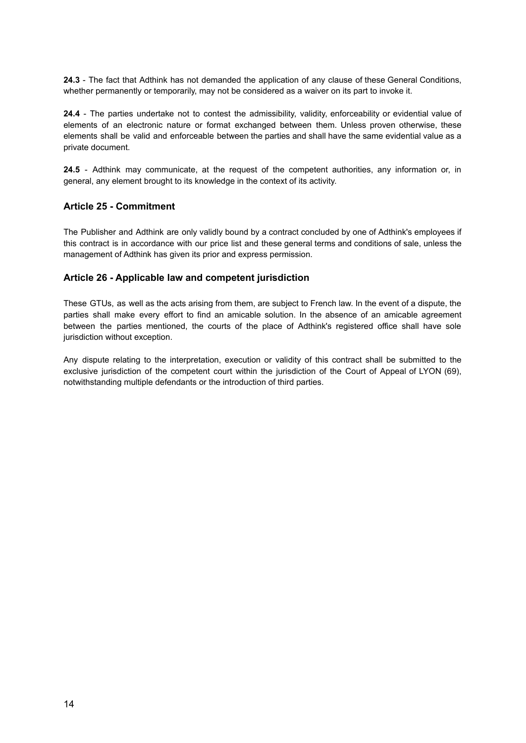**24.3** - The fact that Adthink has not demanded the application of any clause of these General Conditions, whether permanently or temporarily, may not be considered as a waiver on its part to invoke it.

**24.4** - The parties undertake not to contest the admissibility, validity, enforceability or evidential value of elements of an electronic nature or format exchanged between them. Unless proven otherwise, these elements shall be valid and enforceable between the parties and shall have the same evidential value as a private document.

**24.5** - Adthink may communicate, at the request of the competent authorities, any information or, in general, any element brought to its knowledge in the context of its activity.

# **Article 25 - Commitment**

The Publisher and Adthink are only validly bound by a contract concluded by one of Adthink's employees if this contract is in accordance with our price list and these general terms and conditions of sale, unless the management of Adthink has given its prior and express permission.

# **Article 26 - Applicable law and competent jurisdiction**

These GTUs, as well as the acts arising from them, are subject to French law. In the event of a dispute, the parties shall make every effort to find an amicable solution. In the absence of an amicable agreement between the parties mentioned, the courts of the place of Adthink's registered office shall have sole jurisdiction without exception.

Any dispute relating to the interpretation, execution or validity of this contract shall be submitted to the exclusive jurisdiction of the competent court within the jurisdiction of the Court of Appeal of LYON (69), notwithstanding multiple defendants or the introduction of third parties.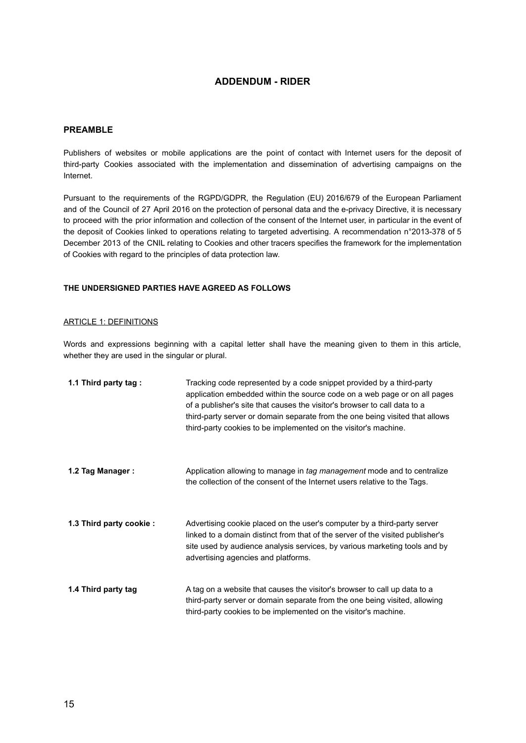# **ADDENDUM - RIDER**

#### **PREAMBLE**

Publishers of websites or mobile applications are the point of contact with Internet users for the deposit of third-party Cookies associated with the implementation and dissemination of advertising campaigns on the Internet.

Pursuant to the requirements of the RGPD/GDPR, the Regulation (EU) 2016/679 of the European Parliament and of the Council of 27 April 2016 on the protection of personal data and the e-privacy Directive, it is necessary to proceed with the prior information and collection of the consent of the Internet user, in particular in the event of the deposit of Cookies linked to operations relating to targeted advertising. A recommendation n°2013-378 of 5 December 2013 of the CNIL relating to Cookies and other tracers specifies the framework for the implementation of Cookies with regard to the principles of data protection law.

#### **THE UNDERSIGNED PARTIES HAVE AGREED AS FOLLOWS**

#### ARTICLE 1: DEFINITIONS

Words and expressions beginning with a capital letter shall have the meaning given to them in this article, whether they are used in the singular or plural.

| 1.1 Third party tag:    | Tracking code represented by a code snippet provided by a third-party<br>application embedded within the source code on a web page or on all pages<br>of a publisher's site that causes the visitor's browser to call data to a<br>third-party server or domain separate from the one being visited that allows<br>third-party cookies to be implemented on the visitor's machine. |
|-------------------------|------------------------------------------------------------------------------------------------------------------------------------------------------------------------------------------------------------------------------------------------------------------------------------------------------------------------------------------------------------------------------------|
| 1.2 Tag Manager:        | Application allowing to manage in tag management mode and to centralize<br>the collection of the consent of the Internet users relative to the Tags.                                                                                                                                                                                                                               |
| 1.3 Third party cookie: | Advertising cookie placed on the user's computer by a third-party server<br>linked to a domain distinct from that of the server of the visited publisher's<br>site used by audience analysis services, by various marketing tools and by<br>advertising agencies and platforms.                                                                                                    |
| 1.4 Third party tag     | A tag on a website that causes the visitor's browser to call up data to a<br>third-party server or domain separate from the one being visited, allowing<br>third-party cookies to be implemented on the visitor's machine.                                                                                                                                                         |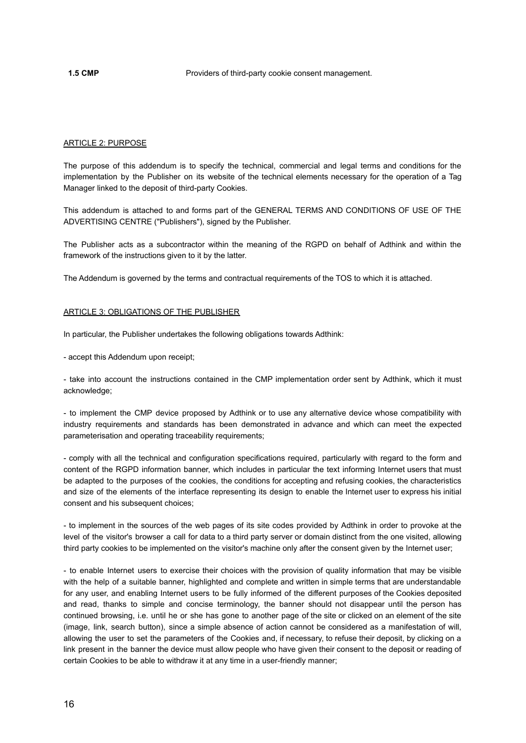#### ARTICLE 2: PURPOSE

The purpose of this addendum is to specify the technical, commercial and legal terms and conditions for the implementation by the Publisher on its website of the technical elements necessary for the operation of a Tag Manager linked to the deposit of third-party Cookies.

This addendum is attached to and forms part of the GENERAL TERMS AND CONDITIONS OF USE OF THE ADVERTISING CENTRE ("Publishers"), signed by the Publisher.

The Publisher acts as a subcontractor within the meaning of the RGPD on behalf of Adthink and within the framework of the instructions given to it by the latter.

The Addendum is governed by the terms and contractual requirements of the TOS to which it is attached.

#### ARTICLE 3: OBLIGATIONS OF THE PUBLISHER

In particular, the Publisher undertakes the following obligations towards Adthink:

- accept this Addendum upon receipt;

- take into account the instructions contained in the CMP implementation order sent by Adthink, which it must acknowledge;

- to implement the CMP device proposed by Adthink or to use any alternative device whose compatibility with industry requirements and standards has been demonstrated in advance and which can meet the expected parameterisation and operating traceability requirements;

- comply with all the technical and configuration specifications required, particularly with regard to the form and content of the RGPD information banner, which includes in particular the text informing Internet users that must be adapted to the purposes of the cookies, the conditions for accepting and refusing cookies, the characteristics and size of the elements of the interface representing its design to enable the Internet user to express his initial consent and his subsequent choices;

- to implement in the sources of the web pages of its site codes provided by Adthink in order to provoke at the level of the visitor's browser a call for data to a third party server or domain distinct from the one visited, allowing third party cookies to be implemented on the visitor's machine only after the consent given by the Internet user;

- to enable Internet users to exercise their choices with the provision of quality information that may be visible with the help of a suitable banner, highlighted and complete and written in simple terms that are understandable for any user, and enabling Internet users to be fully informed of the different purposes of the Cookies deposited and read, thanks to simple and concise terminology, the banner should not disappear until the person has continued browsing, i.e. until he or she has gone to another page of the site or clicked on an element of the site (image, link, search button), since a simple absence of action cannot be considered as a manifestation of will, allowing the user to set the parameters of the Cookies and, if necessary, to refuse their deposit, by clicking on a link present in the banner the device must allow people who have given their consent to the deposit or reading of certain Cookies to be able to withdraw it at any time in a user-friendly manner;